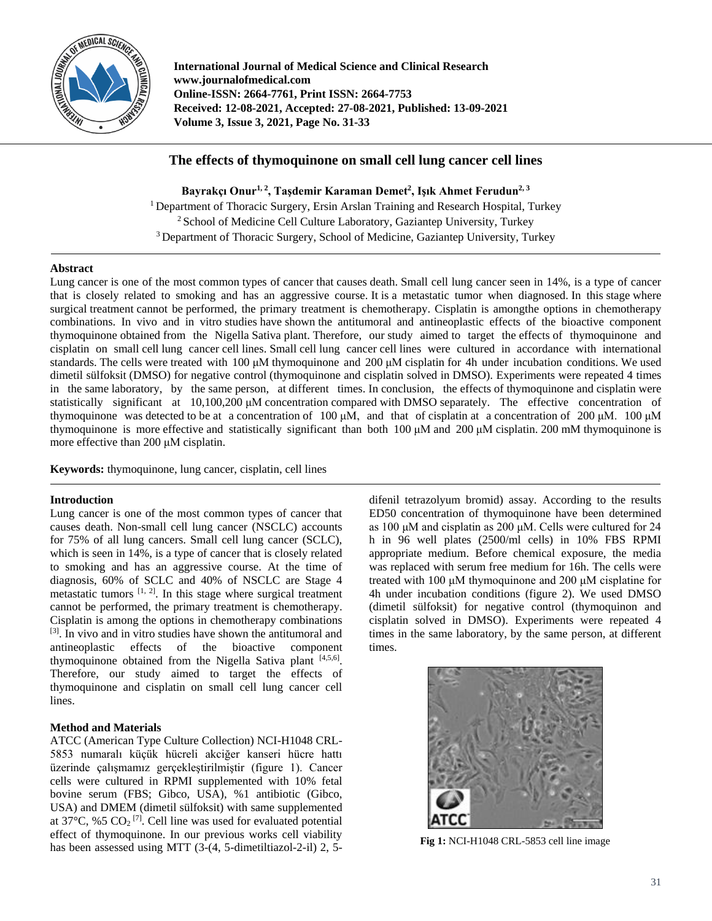

**International Journal of Medical Science and Clinical Research www.journalofmedical.com Online-ISSN: 2664-7761, Print ISSN: 2664-7753 Received: 12-08-2021, Accepted: 27-08-2021, Published: 13-09-2021 Volume 3, Issue 3, 2021, Page No. 31-33** 

# **The effects of thymoquinone on small cell lung cancer cell lines**

**Bayrakçı Onur1, 2 , Taşdemir Karaman Demet<sup>2</sup> , Işık Ahmet Ferudun2, <sup>3</sup>** <sup>1</sup> Department of Thoracic Surgery, Ersin Arslan Training and Research Hospital, Turkey <sup>2</sup> School of Medicine Cell Culture Laboratory, Gaziantep University, Turkey <sup>3</sup> Department of Thoracic Surgery, School of Medicine, Gaziantep University, Turkey

## **Abstract**

Lung cancer is one of the most common types of cancer that causes death. Small cell lung cancer seen in 14%, is a type of cancer that is closely related to smoking and has an aggressive course. It is a metastatic tumor when diagnosed. In this stage where surgical treatment cannot be performed, the primary treatment is chemotherapy. Cisplatin is amongthe options in chemotherapy combinations. In vivo and in vitro studies have shown the antitumoral and antineoplastic effects of the bioactive component thymoquinone obtained from the Nigella Sativa plant. Therefore, our study aimed to target the effects of thymoquinone and cisplatin on small cell lung cancer cell lines. Small cell lung cancer cell lines were cultured in accordance with international standards. The cells were treated with 100 μM thymoquinone and 200 μM cisplatin for 4h under incubation conditions. We used dimetil sülfoksit (DMSO) for negative control (thymoquinone and cisplatin solved in DMSO). Experiments were repeated 4 times in the same laboratory, by the same person, at different times. In conclusion, the effects of thymoquinone and cisplatin were statistically significant at 10,100,200 μM concentration compared with DMSO separately. The effective concentration of thymoquinone was detected to be at a concentration of 100 μM, and that of cisplatin at a concentration of 200 μM. 100 μM thymoquinone is more effective and statistically significant than both 100 μM and 200 μM cisplatin. 200 mM thymoquinone is more effective than 200 μM cisplatin.

**Keywords:** thymoquinone, lung cancer, cisplatin, cell lines

## **Introduction**

Lung cancer is one of the most common types of cancer that causes death. Non-small cell lung cancer (NSCLC) accounts for 75% of all lung cancers. Small cell lung cancer (SCLC), which is seen in 14%, is a type of cancer that is closely related to smoking and has an aggressive course. At the time of diagnosis, 60% of SCLC and 40% of NSCLC are Stage 4 metastatic tumors  $[1, 2]$ . In this stage where surgical treatment cannot be performed, the primary treatment is chemotherapy. Cisplatin is among the options in chemotherapy combinations [3]. In vivo and in vitro studies have shown the antitumoral and antineoplastic effects of the bioactive component thymoquinone obtained from the Nigella Sativa plant [4,5,6]. Therefore, our study aimed to target the effects of thymoquinone and cisplatin on small cell lung cancer cell lines.

## **Method and Materials**

ATCC (American Type Culture Collection) NCI-H1048 CRL-5853 numaralı küçük hücreli akciğer kanseri hücre hattı üzerinde çalışmamız gerçekleştirilmiştir (figure 1). Cancer cells were cultured in RPMI supplemented with 10% fetal bovine serum (FBS; Gibco, USA), %1 antibiotic (Gibco, USA) and DMEM (dimetil sülfoksit) with same supplemented at 37 $^{\circ}$ C, %5 CO<sub>2</sub><sup>[7]</sup>. Cell line was used for evaluated potential effect of thymoquinone. In our previous works cell viability has been assessed using MTT (3-(4, 5-dimetiltiazol-2-il) 2, 5-

difenil tetrazolyum bromid) assay. According to the results ED50 concentration of thymoquinone have been determined as 100 μM and cisplatin as 200 μM. Cells were cultured for 24 h in 96 well plates (2500/ml cells) in 10% FBS RPMI appropriate medium. Before chemical exposure, the media was replaced with serum free medium for 16h. The cells were treated with 100 μM thymoquinone and 200 μM cisplatine for 4h under incubation conditions (figure 2). We used DMSO (dimetil sülfoksit) for negative control (thymoquinon and cisplatin solved in DMSO). Experiments were repeated 4 times in the same laboratory, by the same person, at different times.



**Fig 1:** NCI-H1048 CRL-5853 cell line image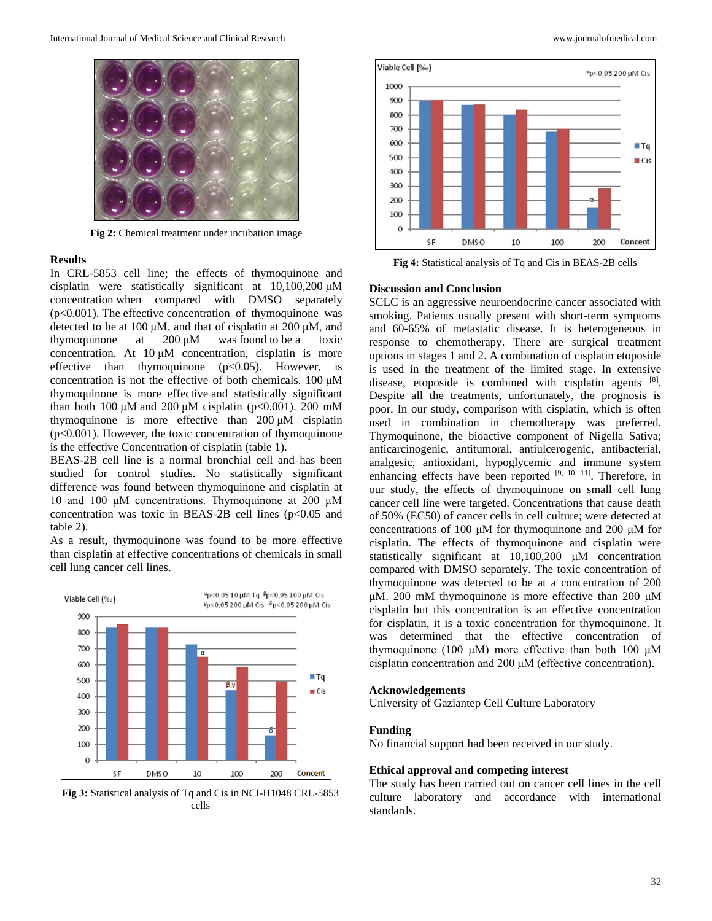

**Fig 2:** Chemical treatment under incubation image

#### **Results**

In CRL-5853 cell line; the effects of thymoquinone and cisplatin were statistically significant at 10,100,200 μM concentration when compared with DMSO separately  $(p<0.001)$ . The effective concentration of thymoquinone was detected to be at 100 μM, and that of cisplatin at 200 μM, and thymoquinone at  $200 \mu M$  was found to be a toxic concentration. At 10 μM concentration, cisplatin is more effective than thymoquinone  $(p<0.05)$ . However, is concentration is not the effective of both chemicals. 100 μM thymoquinone is more effective and statistically significant than both 100 μM and 200 μM cisplatin (p<0.001). 200 mM thymoquinone is more effective than 200 μM cisplatin (p<0.001). However, the toxic concentration of thymoquinone is the effective Concentration of cisplatin (table 1).

BEAS-2B cell line is a normal bronchial cell and has been studied for control studies. No statistically significant difference was found between thymoquinone and cisplatin at 10 and 100 μM concentrations. Thymoquinone at 200 µM concentration was toxic in BEAS-2B cell lines (p<0.05 and table 2).

As a result, thymoquinone was found to be more effective than cisplatin at effective concentrations of chemicals in small cell lung cancer cell lines.



**Fig 3:** Statistical analysis of Tq and Cis in NCI-H1048 CRL-5853 cells



**Fig 4:** Statistical analysis of Tq and Cis in BEAS-2B cells

## **Discussion and Conclusion**

SCLC is an aggressive neuroendocrine cancer associated with smoking. Patients usually present with short-term symptoms and 60-65% of metastatic disease. It is heterogeneous in response to chemotherapy. There are surgical treatment options in stages 1 and 2. A combination of cisplatin etoposide is used in the treatment of the limited stage. In extensive disease, etoposide is combined with cisplatin agents [8]. Despite all the treatments, unfortunately, the prognosis is poor. In our study, comparison with cisplatin, which is often used in combination in chemotherapy was preferred. Thymoquinone, the bioactive component of Nigella Sativa; anticarcinogenic, antitumoral, antiulcerogenic, antibacterial, analgesic, antioxidant, hypoglycemic and immune system enhancing effects have been reported  $[9, 10, 11]$ . Therefore, in our study, the effects of thymoquinone on small cell lung cancer cell line were targeted. Concentrations that cause death of 50% (EC50) of cancer cells in cell culture; were detected at concentrations of 100 μM for thymoquinone and 200 μM for cisplatin. The effects of thymoquinone and cisplatin were statistically significant at 10,100,200 μM concentration compared with DMSO separately. The toxic concentration of thymoquinone was detected to be at a concentration of 200 μM. 200 mM thymoquinone is more effective than 200 μM cisplatin but this concentration is an effective concentration for cisplatin, it is a toxic concentration for thymoquinone. It was determined that the effective concentration of thymoquinone (100 μM) more effective than both 100 μM cisplatin concentration and 200 μM (effective concentration).

### **Acknowledgements**

University of Gaziantep Cell Culture Laboratory

## **Funding**

No financial support had been received in our study.

#### **Ethical approval and competing interest**

The study has been carried out on cancer cell lines in the cell culture laboratory and accordance with international standards.